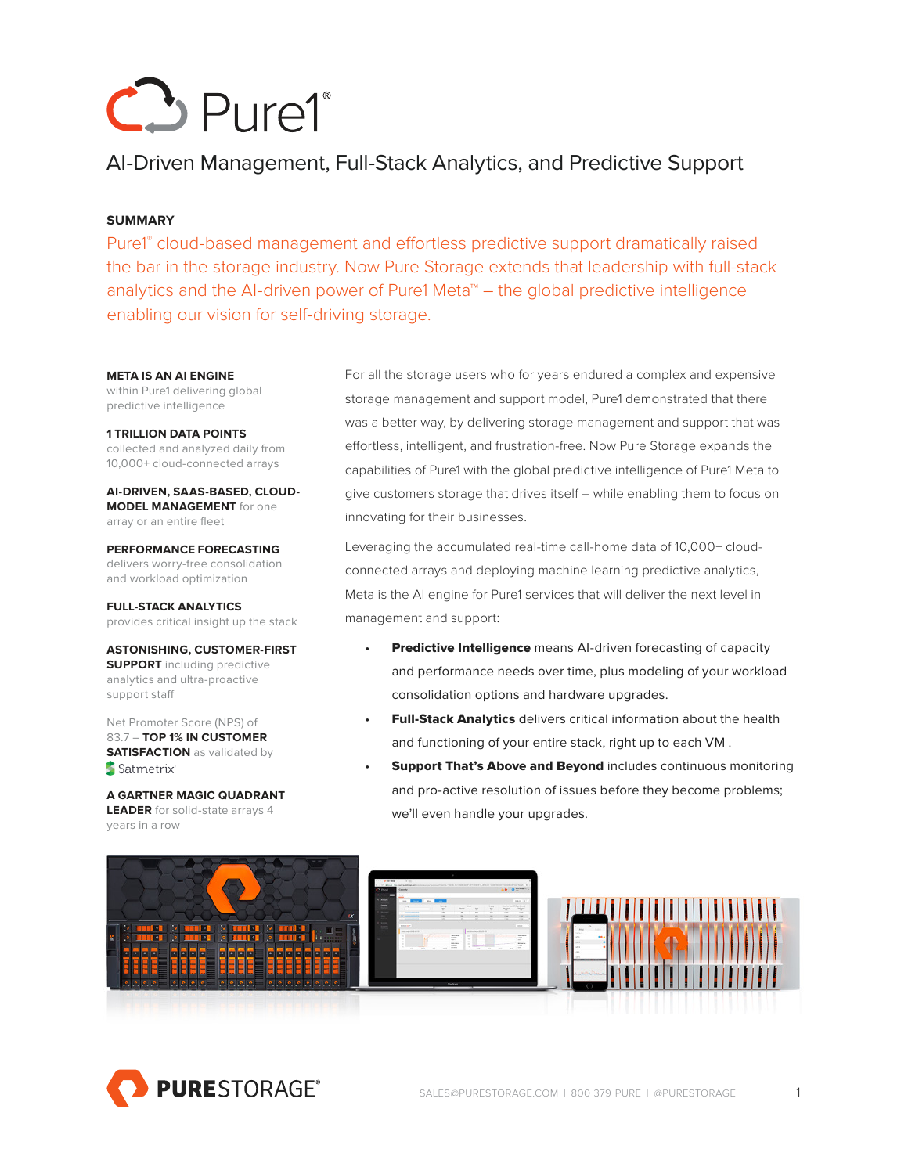

# AI-Driven Management, Full-Stack Analytics, and Predictive Support

## **SUMMARY**

Pure1<sup>®</sup> cloud-based management and effortless predictive support dramatically raised the bar in the storage industry. Now Pure Storage extends that leadership with full-stack analytics and the AI-driven power of Pure1 Meta™ – the global predictive intelligence enabling our vision for self-driving storage.

#### **META IS AN AI ENGINE**

within Pure1 delivering global predictive intelligence

**1 TRILLION DATA POINTS** collected and analyzed daily from 10,000+ cloud-connected arrays

**AI-DRIVEN, SAAS-BASED, CLOUD-MODEL MANAGEMENT** for one array or an entire fleet

**PERFORMANCE FORECASTING**  delivers worry-free consolidation and workload optimization

**FULL-STACK ANALYTICS** provides critical insight up the stack

**ASTONISHING, CUSTOMER-FIRST SUPPORT** including predictive analytics and ultra-proactive support staff

Net Promoter Score (NPS) of 83.7 – **TOP 1% IN CUSTOMER SATISFACTION** as validated by Satmetrix'

**A GARTNER MAGIC QUADRANT LEADER** for solid-state arrays 4 years in a row

For all the storage users who for years endured a complex and expensive storage management and support model, Pure1 demonstrated that there was a better way, by delivering storage management and support that was effortless, intelligent, and frustration-free. Now Pure Storage expands the capabilities of Pure1 with the global predictive intelligence of Pure1 Meta to give customers storage that drives itself – while enabling them to focus on innovating for their businesses.

Leveraging the accumulated real-time call-home data of 10,000+ cloudconnected arrays and deploying machine learning predictive analytics, Meta is the AI engine for Pure1 services that will deliver the next level in management and support:

- **Predictive Intelligence** means AI-driven forecasting of capacity and performance needs over time, plus modeling of your workload consolidation options and hardware upgrades.
- Full-Stack Analytics delivers critical information about the health and functioning of your entire stack, right up to each VM .
- **Support That's Above and Beyond includes continuous monitoring** and pro-active resolution of issues before they become problems; we'll even handle your upgrades.



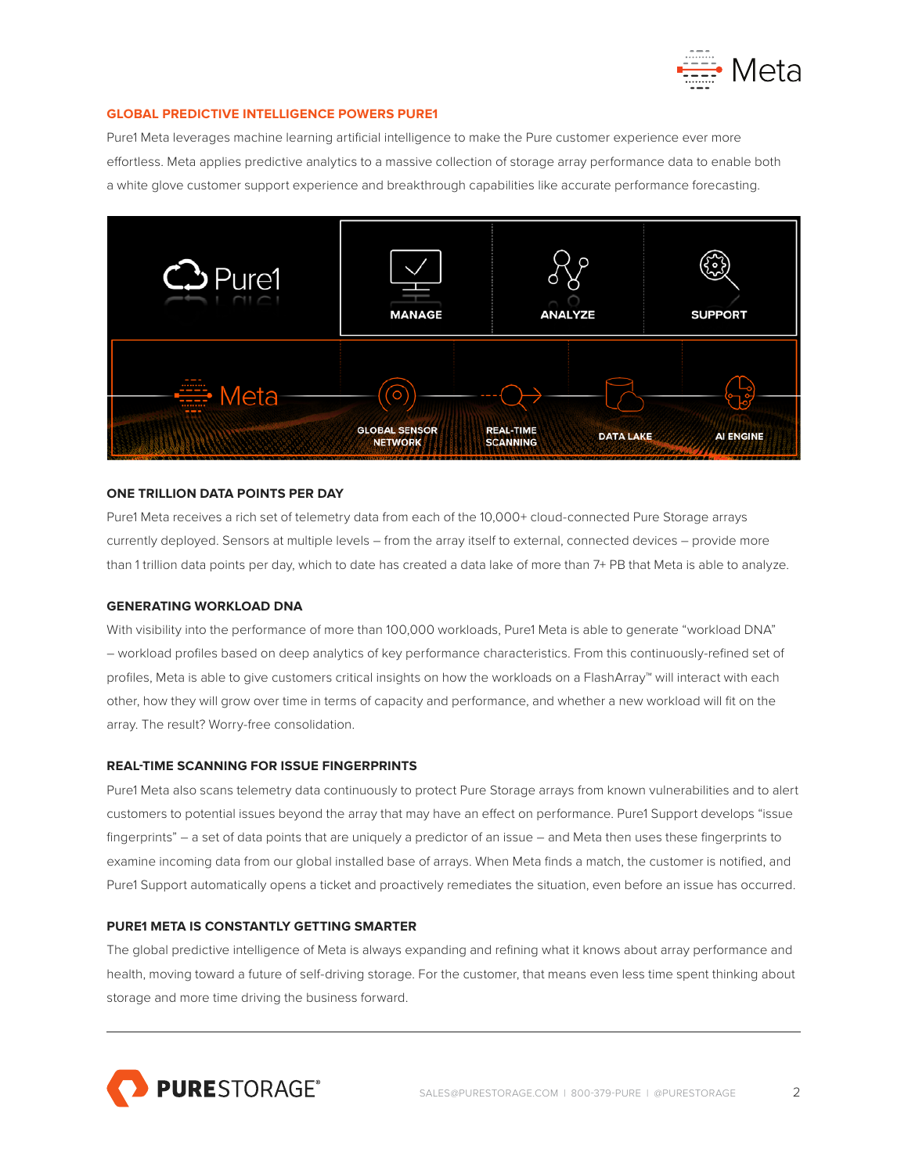

### **GLOBAL PREDICTIVE INTELLIGENCE POWERS PURE1**

Pure1 Meta leverages machine learning artificial intelligence to make the Pure customer experience ever more effortless. Meta applies predictive analytics to a massive collection of storage array performance data to enable both a white glove customer support experience and breakthrough capabilities like accurate performance forecasting.



### **ONE TRILLION DATA POINTS PER DAY**

Pure1 Meta receives a rich set of telemetry data from each of the 10,000+ cloud-connected Pure Storage arrays currently deployed. Sensors at multiple levels – from the array itself to external, connected devices – provide more than 1 trillion data points per day, which to date has created a data lake of more than 7+ PB that Meta is able to analyze.

### **GENERATING WORKLOAD DNA**

With visibility into the performance of more than 100,000 workloads, Pure1 Meta is able to generate "workload DNA" – workload profiles based on deep analytics of key performance characteristics. From this continuously-refined set of profiles, Meta is able to give customers critical insights on how the workloads on a FlashArray™ will interact with each other, how they will grow over time in terms of capacity and performance, and whether a new workload will fit on the array. The result? Worry-free consolidation.

### **REAL-TIME SCANNING FOR ISSUE FINGERPRINTS**

Pure1 Meta also scans telemetry data continuously to protect Pure Storage arrays from known vulnerabilities and to alert customers to potential issues beyond the array that may have an effect on performance. Pure1 Support develops "issue fingerprints" – a set of data points that are uniquely a predictor of an issue – and Meta then uses these fingerprints to examine incoming data from our global installed base of arrays. When Meta finds a match, the customer is notified, and Pure1 Support automatically opens a ticket and proactively remediates the situation, even before an issue has occurred.

### **PURE1 META IS CONSTANTLY GETTING SMARTER**

The global predictive intelligence of Meta is always expanding and refining what it knows about array performance and health, moving toward a future of self-driving storage. For the customer, that means even less time spent thinking about storage and more time driving the business forward.

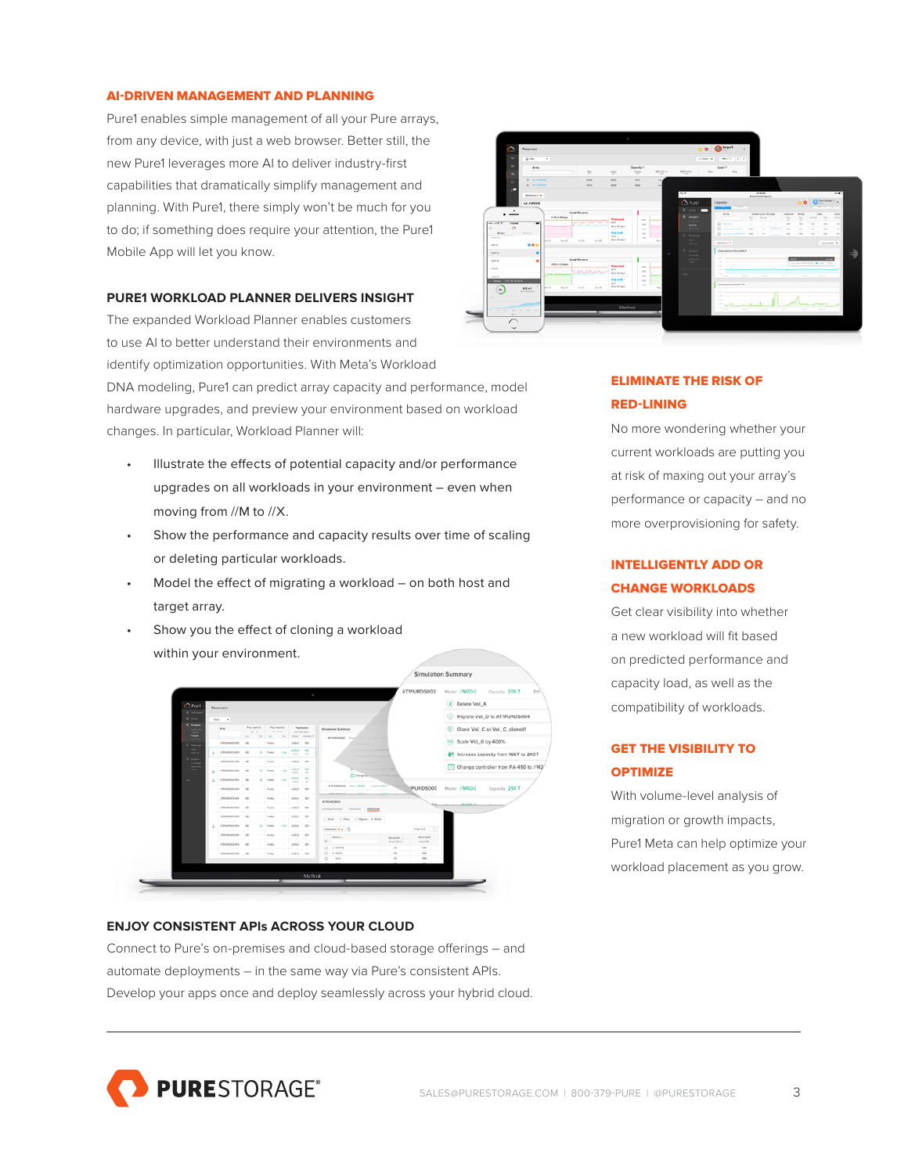#### AI-DRIVEN MANAGEMENT AND PLANNING

Pure1 enables simple management of all your Pure arrays, from any device, with just a web browser. Better still, the new Pure1 leverages more AI to deliver industry-first capabilities that dramatically simplify management and planning. With Pure1, there simply won't be much for you to do; if something does require your attention, the Pure1 Mobile App will let you know.

### **PURE1 WORKLOAD PLANNER DELIVERS INSIGHT**

The expanded Workload Planner enables customers to use AI to better understand their environments and identify optimization opportunities. With Meta's Workload DNA modeling, Pure1 can predict array capacity and performance, model hardware upgrades, and preview your environment based on workload changes. In particular, Workload Planner will:

- Illustrate the effects of potential capacity and/or performance upgrades on all workloads in your environment – even when moving from //M to //X.
- Show the performance and capacity results over time of scaling or deleting particular workloads.
- Model the effect of migrating a workload on both host and target array.
- Show you the effect of cloning a workload within your environment.



### **ENJOY CONSISTENT APIs ACROSS YOUR CLOUD**

Connect to Pure's on-premises and cloud-based storage offerings – and automate deployments – in the same way via Pure's consistent APIs. Develop your apps once and deploy seamlessly across your hybrid cloud.



# ELIMINATE THE RISK OF RED-LINING

No more wondering whether your current workloads are putting you at risk of maxing out your array's performance or capacity – and no more overprovisioning for safety.

# INTELLIGENTLY ADD OR CHANGE WORKLOADS

Get clear visibility into whether a new workload will fit based on predicted performance and capacity load, as well as the compatibility of workloads.

# GET THE VISIBILITY TO **OPTIMIZE**

With volume-level analysis of migration or growth impacts, Pure1 Meta can help optimize your workload placement as you grow.

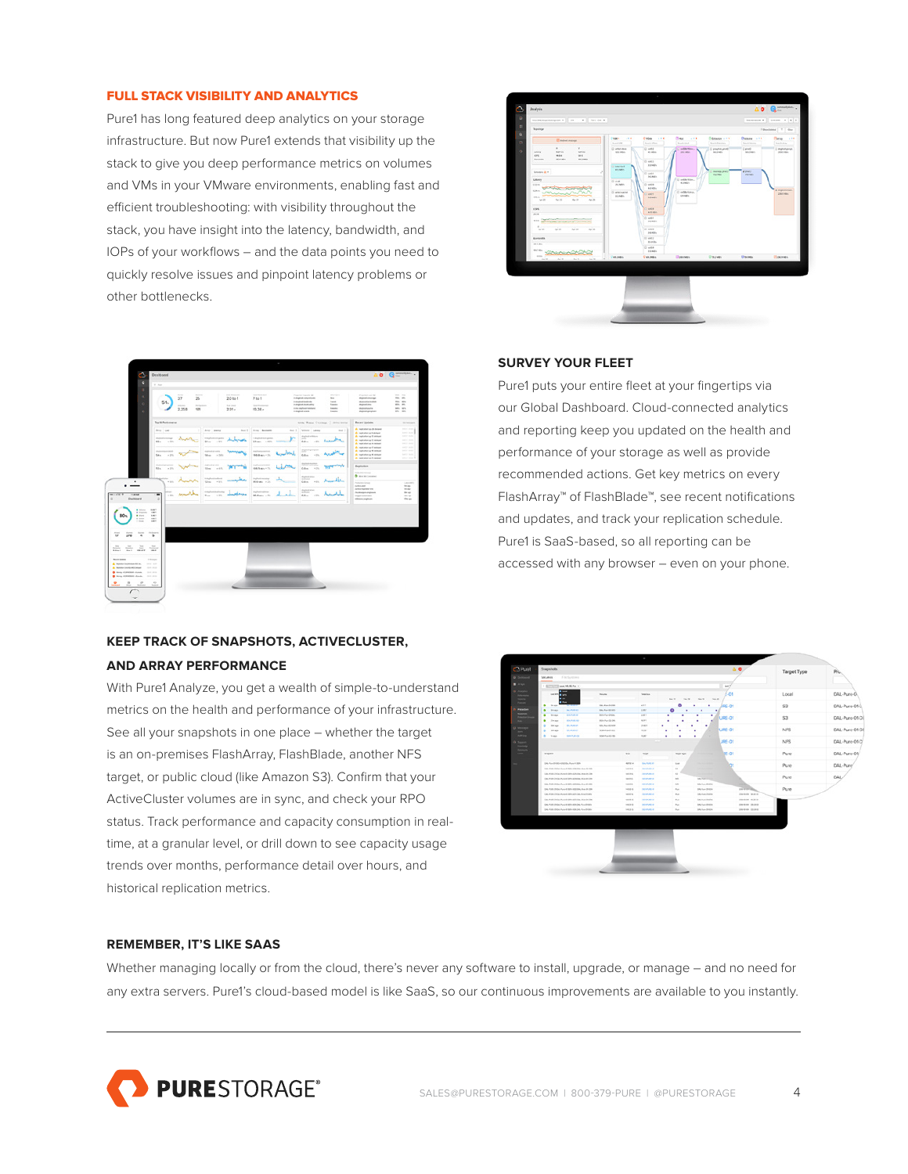### FULL STACK VISIBILITY AND ANALYTICS

Pure1 has long featured deep analytics on your storage infrastructure. But now Pure1 extends that visibility up the stack to give you deep performance metrics on volumes and VMs in your VMware environments, enabling fast and efficient troubleshooting: with visibility throughout the stack, you have insight into the latency, bandwidth, and IOPs of your workflows – and the data points you need to quickly resolve issues and pinpoint latency problems or other bottlenecks.



# **KEEP TRACK OF SNAPSHOTS, ACTIVECLUSTER, AND ARRAY PERFORMANCE**

With Pure1 Analyze, you get a wealth of simple-to-understand metrics on the health and performance of your infrastructure. See all your snapshots in one place – whether the target is an on-premises FlashArray, FlashBlade, another NFS target, or public cloud (like Amazon S3). Confirm that your ActiveCluster volumes are in sync, and check your RPO status. Track performance and capacity consumption in realtime, at a granular level, or drill down to see capacity usage trends over months, performance detail over hours, and historical replication metrics.



### **SURVEY YOUR FLEET**

Pure1 puts your entire fleet at your fingertips via our Global Dashboard. Cloud-connected analytics and reporting keep you updated on the health and performance of your storage as well as provide recommended actions. Get key metrics on every FlashArray™ of FlashBlade™, see recent notifications and updates, and track your replication schedule. Pure1 is SaaS-based, so all reporting can be accessed with any browser – even on your phone.



### **REMEMBER, IT'S LIKE SAAS**

Whether managing locally or from the cloud, there's never any software to install, upgrade, or manage – and no need for any extra servers. Pure1's cloud-based model is like SaaS, so our continuous improvements are available to you instantly.